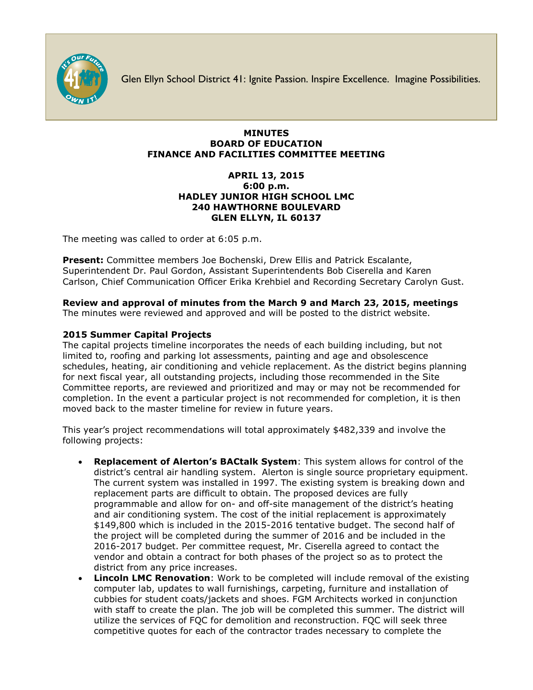

Glen Ellyn School District 41: Ignite Passion. Inspire Excellence. Imagine Possibilities.

## **MINUTES BOARD OF EDUCATION FINANCE AND FACILITIES COMMITTEE MEETING**

## **APRIL 13, 2015 6:00 p.m. HADLEY JUNIOR HIGH SCHOOL LMC 240 HAWTHORNE BOULEVARD GLEN ELLYN, IL 60137**

The meeting was called to order at 6:05 p.m.

**Present:** Committee members Joe Bochenski, Drew Ellis and Patrick Escalante, Superintendent Dr. Paul Gordon, Assistant Superintendents Bob Ciserella and Karen Carlson, Chief Communication Officer [Erika Krehbiel](http://www.d41.org/contact_email.asp?id=ekrehbiel&n=Erika_Krehbiel) and Recording Secretary Carolyn Gust.

**Review and approval of minutes from the March 9 and March 23, 2015, meetings** The minutes were reviewed and approved and will be posted to the district website.

## **2015 Summer Capital Projects**

The capital projects timeline incorporates the needs of each building including, but not limited to, roofing and parking lot assessments, painting and age and obsolescence schedules, heating, air conditioning and vehicle replacement. As the district begins planning for next fiscal year, all outstanding projects, including those recommended in the Site Committee reports, are reviewed and prioritized and may or may not be recommended for completion. In the event a particular project is not recommended for completion, it is then moved back to the master timeline for review in future years.

This year's project recommendations will total approximately \$482,339 and involve the following projects:

- **Replacement of Alerton's BACtalk System**: This system allows for control of the district's central air handling system. Alerton is single source proprietary equipment. The current system was installed in 1997. The existing system is breaking down and replacement parts are difficult to obtain. The proposed devices are fully programmable and allow for on- and off-site management of the district's heating and air conditioning system. The cost of the initial replacement is approximately \$149,800 which is included in the 2015-2016 tentative budget. The second half of the project will be completed during the summer of 2016 and be included in the 2016-2017 budget. Per committee request, Mr. Ciserella agreed to contact the vendor and obtain a contract for both phases of the project so as to protect the district from any price increases.
- **Lincoln LMC Renovation**: Work to be completed will include removal of the existing computer lab, updates to wall furnishings, carpeting, furniture and installation of cubbies for student coats/jackets and shoes. FGM Architects worked in conjunction with staff to create the plan. The job will be completed this summer. The district will utilize the services of FQC for demolition and reconstruction. FQC will seek three competitive quotes for each of the contractor trades necessary to complete the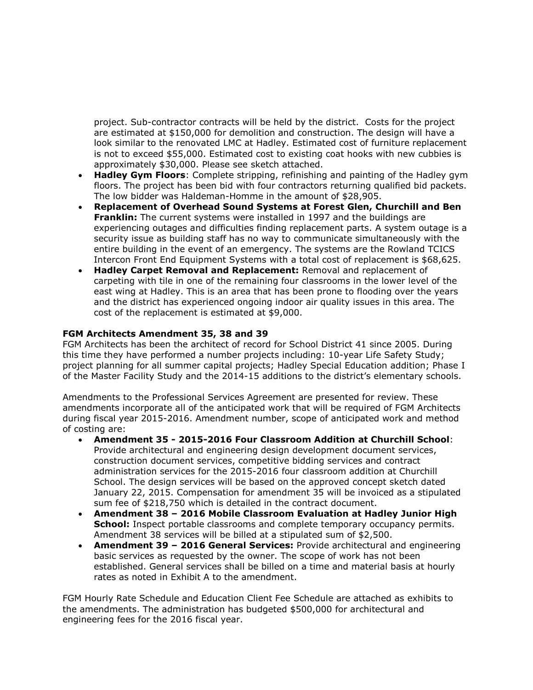project. Sub-contractor contracts will be held by the district. Costs for the project are estimated at \$150,000 for demolition and construction. The design will have a look similar to the renovated LMC at Hadley. Estimated cost of furniture replacement is not to exceed \$55,000. Estimated cost to existing coat hooks with new cubbies is approximately \$30,000. Please see sketch attached.

- **Hadley Gym Floors**: Complete stripping, refinishing and painting of the Hadley gym floors. The project has been bid with four contractors returning qualified bid packets. The low bidder was Haldeman-Homme in the amount of \$28,905.
- **Replacement of Overhead Sound Systems at Forest Glen, Churchill and Ben Franklin:** The current systems were installed in 1997 and the buildings are experiencing outages and difficulties finding replacement parts. A system outage is a security issue as building staff has no way to communicate simultaneously with the entire building in the event of an emergency. The systems are the Rowland TCICS Intercon Front End Equipment Systems with a total cost of replacement is \$68,625.
- **Hadley Carpet Removal and Replacement:** Removal and replacement of carpeting with tile in one of the remaining four classrooms in the lower level of the east wing at Hadley. This is an area that has been prone to flooding over the years and the district has experienced ongoing indoor air quality issues in this area. The cost of the replacement is estimated at \$9,000.

## **FGM Architects Amendment 35, 38 and 39**

FGM Architects has been the architect of record for School District 41 since 2005. During this time they have performed a number projects including: 10-year Life Safety Study; project planning for all summer capital projects; Hadley Special Education addition; Phase I of the Master Facility Study and the 2014-15 additions to the district's elementary schools.

Amendments to the Professional Services Agreement are presented for review. These amendments incorporate all of the anticipated work that will be required of FGM Architects during fiscal year 2015-2016. Amendment number, scope of anticipated work and method of costing are:

- **Amendment 35 - 2015-2016 Four Classroom Addition at Churchill School**: Provide architectural and engineering design development document services, construction document services, competitive bidding services and contract administration services for the 2015-2016 four classroom addition at Churchill School. The design services will be based on the approved concept sketch dated January 22, 2015. Compensation for amendment 35 will be invoiced as a stipulated sum fee of \$218,750 which is detailed in the contract document.
- **Amendment 38 – 2016 Mobile Classroom Evaluation at Hadley Junior High School:** Inspect portable classrooms and complete temporary occupancy permits. Amendment 38 services will be billed at a stipulated sum of \$2,500.
- **Amendment 39 – 2016 General Services:** Provide architectural and engineering basic services as requested by the owner. The scope of work has not been established. General services shall be billed on a time and material basis at hourly rates as noted in Exhibit A to the amendment.

FGM Hourly Rate Schedule and Education Client Fee Schedule are attached as exhibits to the amendments. The administration has budgeted \$500,000 for architectural and engineering fees for the 2016 fiscal year.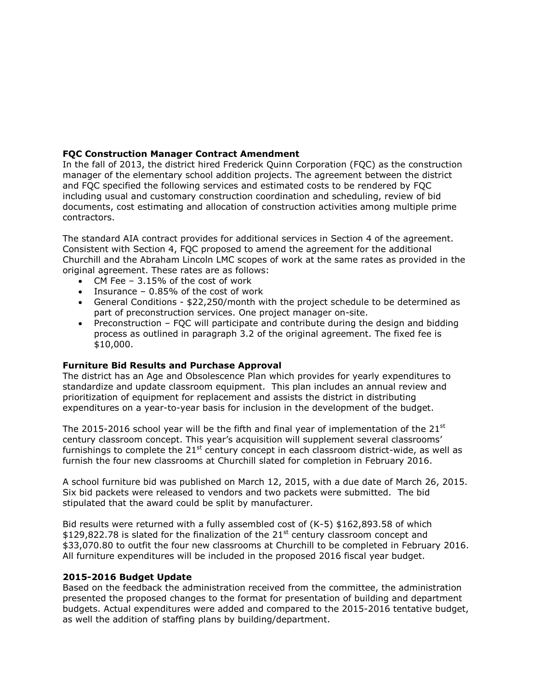# **FQC Construction Manager Contract Amendment**

In the fall of 2013, the district hired Frederick Quinn Corporation (FQC) as the construction manager of the elementary school addition projects. The agreement between the district and FQC specified the following services and estimated costs to be rendered by FQC including usual and customary construction coordination and scheduling, review of bid documents, cost estimating and allocation of construction activities among multiple prime contractors.

The standard AIA contract provides for additional services in Section 4 of the agreement. Consistent with Section 4, FQC proposed to amend the agreement for the additional Churchill and the Abraham Lincoln LMC scopes of work at the same rates as provided in the original agreement. These rates are as follows:

- CM Fee 3.15% of the cost of work
- Insurance 0.85% of the cost of work
- General Conditions \$22,250/month with the project schedule to be determined as part of preconstruction services. One project manager on-site.
- Preconstruction FQC will participate and contribute during the design and bidding process as outlined in paragraph 3.2 of the original agreement. The fixed fee is \$10,000.

#### **Furniture Bid Results and Purchase Approval**

The district has an Age and Obsolescence Plan which provides for yearly expenditures to standardize and update classroom equipment. This plan includes an annual review and prioritization of equipment for replacement and assists the district in distributing expenditures on a year-to-year basis for inclusion in the development of the budget.

The 2015-2016 school year will be the fifth and final year of implementation of the  $21^{st}$ century classroom concept. This year's acquisition will supplement several classrooms' furnishings to complete the  $21<sup>st</sup>$  century concept in each classroom district-wide, as well as furnish the four new classrooms at Churchill slated for completion in February 2016.

A school furniture bid was published on March 12, 2015, with a due date of March 26, 2015. Six bid packets were released to vendors and two packets were submitted. The bid stipulated that the award could be split by manufacturer.

Bid results were returned with a fully assembled cost of (K-5) \$162,893.58 of which  $$129,822.78$  is slated for the finalization of the  $21<sup>st</sup>$  century classroom concept and \$33,070.80 to outfit the four new classrooms at Churchill to be completed in February 2016. All furniture expenditures will be included in the proposed 2016 fiscal year budget.

## **2015-2016 Budget Update**

Based on the feedback the administration received from the committee, the administration presented the proposed changes to the format for presentation of building and department budgets. Actual expenditures were added and compared to the 2015-2016 tentative budget, as well the addition of staffing plans by building/department.